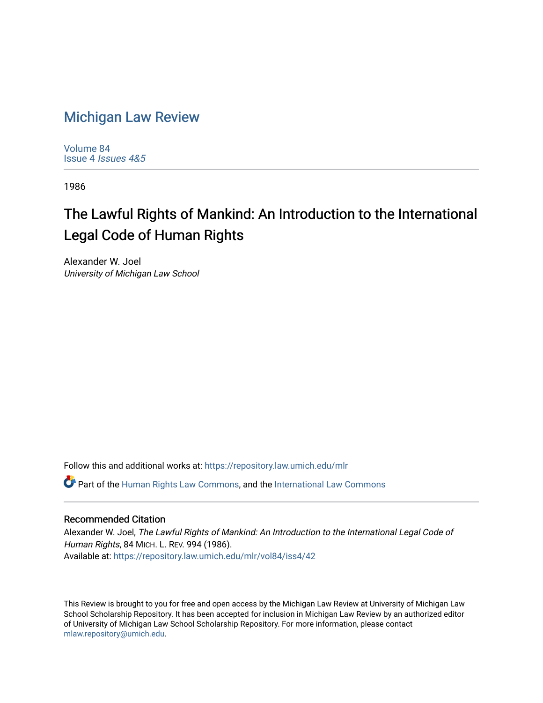## [Michigan Law Review](https://repository.law.umich.edu/mlr)

[Volume 84](https://repository.law.umich.edu/mlr/vol84) Issue 4 [Issues 4&5](https://repository.law.umich.edu/mlr/vol84/iss4) 

1986

## The Lawful Rights of Mankind: An Introduction to the International Legal Code of Human Rights

Alexander W. Joel University of Michigan Law School

Follow this and additional works at: [https://repository.law.umich.edu/mlr](https://repository.law.umich.edu/mlr?utm_source=repository.law.umich.edu%2Fmlr%2Fvol84%2Fiss4%2F42&utm_medium=PDF&utm_campaign=PDFCoverPages) 

 $\bullet$  Part of the [Human Rights Law Commons,](http://network.bepress.com/hgg/discipline/847?utm_source=repository.law.umich.edu%2Fmlr%2Fvol84%2Fiss4%2F42&utm_medium=PDF&utm_campaign=PDFCoverPages) and the International Law Commons

## Recommended Citation

Alexander W. Joel, The Lawful Rights of Mankind: An Introduction to the International Legal Code of Human Rights, 84 MICH. L. REV. 994 (1986). Available at: [https://repository.law.umich.edu/mlr/vol84/iss4/42](https://repository.law.umich.edu/mlr/vol84/iss4/42?utm_source=repository.law.umich.edu%2Fmlr%2Fvol84%2Fiss4%2F42&utm_medium=PDF&utm_campaign=PDFCoverPages) 

This Review is brought to you for free and open access by the Michigan Law Review at University of Michigan Law School Scholarship Repository. It has been accepted for inclusion in Michigan Law Review by an authorized editor of University of Michigan Law School Scholarship Repository. For more information, please contact [mlaw.repository@umich.edu.](mailto:mlaw.repository@umich.edu)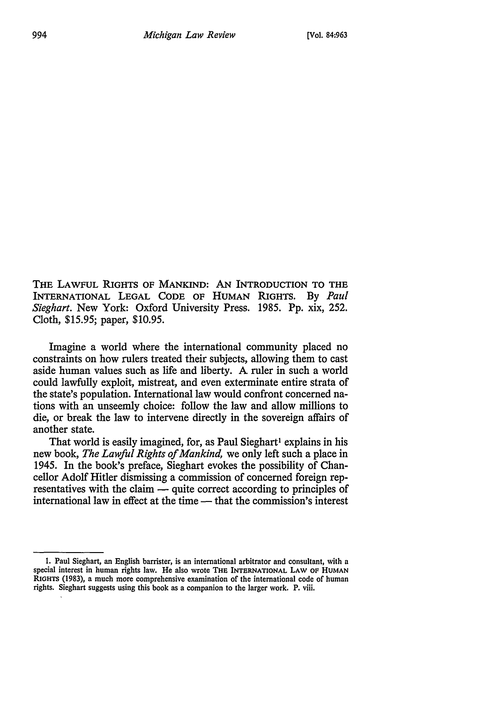THE LAWFUL RIGHTS OF MANKIND: AN INTRODUCTION TO THE INTERNATIONAL LEGAL CODE OF HUMAN RIGHTS. By *Paul Sieghart.* New York: Oxford University Press. 1985. Pp. xix, 252. Cloth, \$15.95; paper, \$10.95.

Imagine a world where the international community placed no constraints on how rulers treated their subjects, allowing them to cast aside human values such as life and liberty. A ruler in such a world could lawfully exploit, mistreat, and even exterminate entire strata of the state's population. International law would confront concerned nations with an unseemly choice: follow the law and allow millions to die, or break the law to intervene directly in the sovereign affairs of another state.

That world is easily imagined, for, as Paul Sieghart<sup>1</sup> explains in his new book, *The Lawful Rights of Mankind,* we only left such a place in 1945. In the book's preface, Sieghart evokes the possibility of Chancellor Adolf Hitler dismissing a commission of concerned foreign representatives with the claim  $-$  quite correct according to principles of international law in effect at the time — that the commission's interest

<sup>1.</sup> Paul Sieghart, an English barrister, is an international arbitrator and consultant, with a special interest in human rights law. He also wrote THE INTERNATIONAL LAW OP HUMAN RIGHTS (1983), a much more comprehensive examination of the international code of humnn rights. Sieghart suggests using this book as a companion to the larger work. P. viii.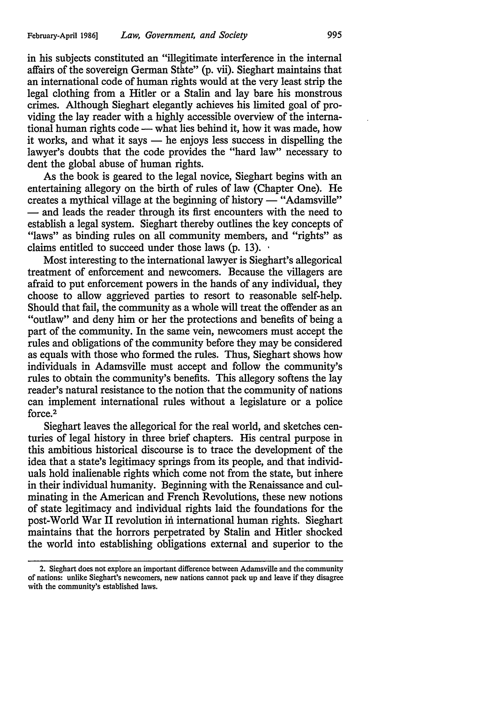in his subjects constituted an "illegitimate interference in the internal affairs of the sovereign German State" (p. vii). Sieghart maintains that an international code of human rights would at the very least strip the legal clothing from a Hitler or a Stalin and lay bare his monstrous crimes. Although Sieghart elegantly achieves his limited goal of providing the lay reader with a highly accessible overview of the international human rights code — what lies behind it, how it was made, how it works, and what it says  $-$  he enjoys less success in dispelling the lawyer's doubts that the code provides the "hard law" necessary to dent the global abuse of human rights.

As the book is geared to the legal novice, Sieghart begins with an entertaining allegory on the birth of rules of law (Chapter One). He creates a mythical village at the beginning of history  $-$  "Adamsville" - and leads the reader through its first encounters with the need to establish a legal system. Sieghart thereby outlines the key concepts of "laws" as binding rules on all community members, and "rights" as claims entitled to succeed under those laws (p. 13). ·

Most interesting to the international lawyer is Sieghart's allegorical treatment of enforcement and newcomers. Because the villagers are afraid to put enforcement powers in the hands of any individual, they choose to allow aggrieved parties to resort to reasonable self-help. Should that fail, the community as a whole will treat the offender as an "outlaw" and deny him or her the protections and benefits of being a part of the community. In the same vein, newcomers must accept the rules and obligations of the community before they may be considered as equals with those who formed the rules. Thus, Sieghart shows how individuals in Adamsville must accept and follow the community's rules to obtain the community's benefits. This allegory softens the lay reader's natural resistance to the notion that the community of nations can implement international rules without a legislature or a police force.<sup>2</sup>

Sieghart leaves the allegorical for the real world, and sketches centuries of legal history in three brief chapters. His central purpose in this ambitious historical discourse is to trace the development of the idea that a state's legitimacy springs from its people, and that individuals hold inalienable rights which come not from the state, but inhere in their individual humanity. Beginning with the Renaissance and culminating in the American and French Revolutions, these new notions of state legitimacy and individual rights laid the foundations for the post-World War II revolution in international human rights. Sieghart maintains that the horrors perpetrated by Stalin and Hitler shocked the world into establishing obligations external and superior to the

<sup>2.</sup> Sieghart does not explore an important difference between Adamsville and the community of nations: unlike Sieghart's newcomers, new nations cannot pack up and leave if they disagree with the community's established laws.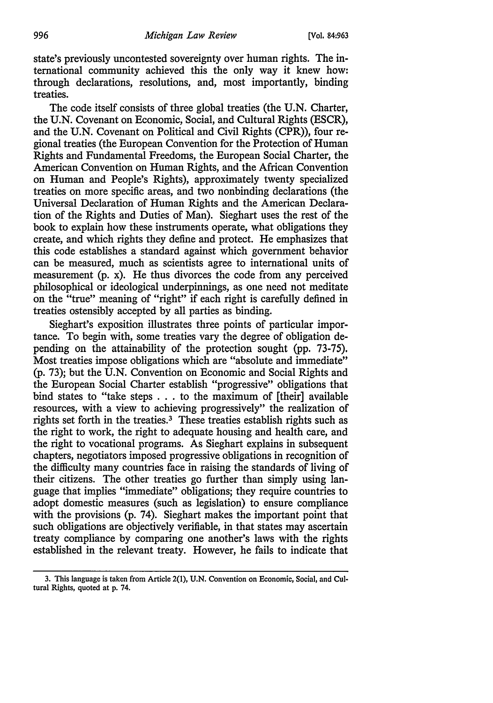state's previously uncontested sovereignty over human rights. The international community achieved this the only way it knew how: through declarations, resolutions, and, most importantly, binding treaties.

The code itself consists of three global treaties (the U.N. Charter, the U.N. Covenant on Economic, Social, and Cultural Rights (ESCR), and the U.N. Covenant on Political and Civil Rights (CPR)), four regional treaties (the European Convention for the Protection of Human Rights and Fundamental Freedoms, the European Social Charter, the American Convention on Human Rights, and the African Convention on Human and People's Rights), approximately twenty specialized treaties on more specific areas, and two nonbinding declarations (the Universal Declaration of Human Rights and the American Declaration of the Rights and Duties of Man). Sieghart uses the rest of the book to explain how these instruments operate, what obligations they create, and which rights they define and protect. He emphasizes that this code establishes a standard against which government behavior can be measured, much as scientists agree to international units of measurement (p. x). He thus divorces the code from any perceived philosophical or ideological underpinnings, as one need not meditate on the "true" meaning of "right" if each right is carefully defined in treaties ostensibly accepted by all parties as binding.

Sieghart's exposition illustrates three points of particular importance. To begin with, some treaties vary the degree of obligation depending on the attainability of the protection sought (pp. 73-75). Most treaties impose obligations which are "absolute and immediate" (p. 73); but the U.N. Convention on Economic and Social Rights and the European Social Charter establish "progressive" obligations that bind states to "take steps ... to the maximum of [their] available resources, with a view to achieving progressively" the realization of rights set forth in the treaties. 3 These treaties establish rights such as the right to work, the right to adequate housing and health care, and the right to vocational programs. As Sieghart explains in subsequent chapters, negotiators imposed progressive obligations in recognition of the difficulty many countries face in raising the standards of living of their citizens. The other treaties go further than simply using language that implies "immediate" obligations; they require countries to adopt domestic measures (such as legislation) to ensure compliance with the provisions (p. 74). Sieghart makes the important point that such obligations are objectively verifiable, in that states may ascertain treaty compliance by comparing one another's laws with the rights established in the relevant treaty. However, he fails to indicate that

<sup>3.</sup> This language is taken from Article 2(1), U.N. Convention on Economic, Social, and Cultural Rights, quoted at p. 74.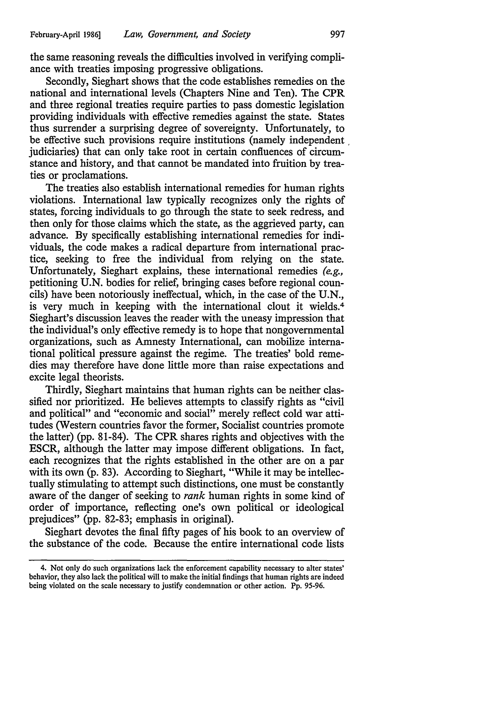the same reasoning reveals the difficulties involved in verifying compliance with treaties imposing progressive obligations.

Secondly, Sieghart shows that the code establishes remedies on the national and international levels (Chapters Nine and Ten). The CPR and three regional treaties require parties to pass domestic legislation providing individuals with effective remedies against the state. States thus surrender a surprising degree of sovereignty. Unfortunately, to be effective such provisions require institutions (namely independent judiciaries) that can only take root in certain confluences of circumstance and history, and that cannot be mandated into fruition by treaties or proclamations.

The treaties also establish international remedies for human rights violations. International law typically recognizes only the rights of states, forcing individuals to go through the state to seek redress, and then only for those claims which the state, as the aggrieved party, can advance. By specifically establishing international remedies for individuals, the code makes a radical departure from international practice, seeking to free the individual from relying on the state. Unfortunately, Sieghart explains, these international remedies (e.g., petitioning U.N. bodies for relief, bringing cases before regional councils) have been notoriously ineffectual, which, in the case of the U.N., is very much in keeping with the international clout it wields.<sup>4</sup> Sieghart's discussion leaves the reader with the uneasy impression that the individual's only effective remedy is to hope that nongovernmental organizations, such as Amnesty International, can mobilize international political pressure against the regime. The treaties' bold remedies may therefore have done little more than raise expectations and excite legal theorists.

Thirdly, Sieghart maintains that human rights can be neither classified nor prioritized. He believes attempts to classify rights as "civil and political" and "economic and social" merely reflect cold war attitudes (Western countries favor the former, Socialist countries promote the latter) (pp. 81-84). The CPR shares rights and objectives with the ESCR, although the latter may impose different obligations. In fact, each recognizes that the rights established in the other are on a par with its own (p. 83). According to Sieghart, "While it may be intellectually stimulating to attempt such distinctions, one must be constantly aware of the danger of seeking to *rank* human rights in some kind of order of importance, reflecting one's own political or ideological prejudices" (pp. 82-83; emphasis in original).

Sieghart devotes the final fifty pages of his book to an overview of the substance of the code. Because the entire international code lists

<sup>4.</sup> Not only do such organizations lack the enforcement capability necessary to alter states' behavior, they also lack the political will to make the initial findings that human rights are indeed being violated on the scale necessary to justify condemnation or other action. Pp. 95-96.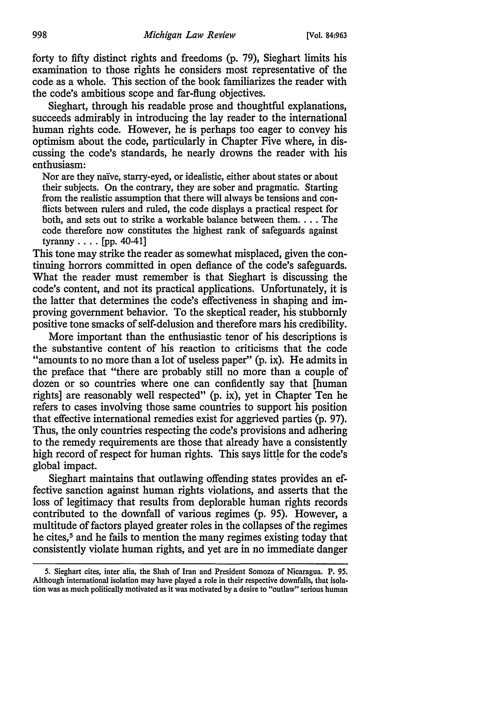forty to fifty distinct rights and freedoms (p. 79), Sieghart limits his examination to those rights he considers most representative of the code as a whole. This section of the book familiarizes the reader with the code's ambitious scope and far-flung objectives.

Sieghart, through his readable prose and thoughtful explanations, succeeds admirably in introducing the lay reader to the international human rights code. However, he is perhaps too eager to convey his optimism about the code, particularly in Chapter Five where, in discussing the code's standards, he nearly drowns the reader with his enthusiasm:

Nor are they naïve, starry-eyed, or idealistic, either about states or about their subjects. On the contrary, they are sober and pragmatic. Starting from the realistic assumption that there will always be tensions and conflicts between rulers and ruled, the code displays a practical respect for both, and sets out to strike a workable balance between them. . . . The code therefore now constitutes the highest rank of safeguards against tyranny . . . . [pp. 40-41]

This tone may strike the reader as somewhat misplaced, given the continuing horrors committed in open defiance of the code's safeguards. What the reader must remember is that Sieghart is discussing the code's content, and not its practical applications. Unfortunately, it is the latter that determines the code's effectiveness in shaping and improving government behavior. To the skeptical reader, his stubbornly positive tone smacks of self-delusion and therefore mars his credibility.

More important than the enthusiastic tenor of his descriptions is the substantive content of his reaction to criticisms that the code "amounts to no more than a lot of useless paper" (p. ix). He admits in the preface that "there are probably still no more than a couple of dozen or so countries where one can confidently say that [human rights] are reasonably well respected" (p. ix), yet in Chapter Ten he refers to cases involving those same countries to support his position that effective international remedies exist for aggrieved parties (p. 97). Thus, the only countries respecting the code's provisions and adhering to the remedy requirements are those that already have a consistently high record of respect for human rights. This says little for the code's global impact.

Sieghart maintains that outlawing offending states provides an effective sanction against human rights violations, and asserts that the loss of legitimacy that results from deplorable human rights records contributed to the downfall of various regimes (p. 95). However, a multitude of factors played greater roles in the collapses of the regimes he cites,<sup>5</sup> and he fails to mention the many regimes existing today that consistently violate human rights, and yet are in no immediate danger

<sup>5.</sup> Sieghart cites, inter alia, the Shah of Iran and President Somoza of Nicaragua. P. 95. Although international isolation may have played a role in their respective downfalls, that isolation was as much politically motivated as it was motivated by a desire to "outlaw" serious human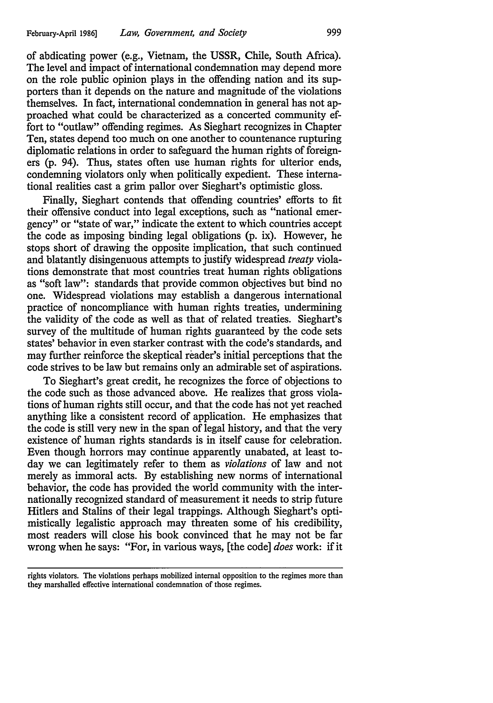of abdicating power (e.g., Vietnam, the USSR, Chile, South Africa). The level and impact of international condemnation may depend more on the role public opinion plays in the offending nation and its supporters than it depends on the nature and magnitude of the violations themselves. In fact, international condemnation in general has not approached what could be characterized as a concerted community effort to "outlaw" offending regimes. As Sieghart recognizes in Chapter Ten, states depend too much on one another to countenance rupturing diplomatic relations in order to safeguard the human rights of foreigners (p. 94). Thus, states often use human rights for ulterior ends, condemning violators only when politically expedient. These international realities cast a grim pallor over Sieghart's optimistic gloss.

Finally, Sieghart contends that offending countries' efforts to fit their offensive conduct into legal exceptions, such as "national emergency" or "state of war," indicate the extent to which countries accept the code as imposing binding legal obligations (p. ix). However, he stops short of drawing the opposite implication, that such continued and blatantly disingenuous attempts to justify widespread *treaty* violations demonstrate that most countries treat human rights obligations as "soft law": standards that provide common objectives but bind no one. Widespread violations may establish a dangerous international practice of noncompliance with human rights treaties, undermining the validity of the code as well as that of related treaties. Sieghart's survey of the multitude of human rights guaranteed by the code sets states' behavior in even starker contrast with the code's standards, and may further reinforce the skeptical reader's initial perceptions that the code strives to be law but remains only an admirable set of aspirations.

To Sieghart's great credit, he recognizes the force of objections to the code such as those advanced above. He realizes that gross violations of human rights still occur, and that the code has not yet reached anything like a consistent record of application. He emphasizes that the code is still very new in the span of legal history, and that the very existence of human rights standards is in itself cause for celebration. Even though horrors may continue apparently unabated, at least today we can legitimately refer to them as *violations* of law and not merely as immoral acts. By establishing new norms of international behavior, the code has provided the world community with the internationally recognized standard of measurement it needs to strip future Hitlers and Stalins of their legal trappings. Although Sieghart's optimistically legalistic approach may threaten some of his credibility, most readers will close his book convinced that he may not be far wrong when he says: "For, in various ways, [the code] *does* work: if it

rights violators. The violations perhaps mobilized internal opposition to the regimes more than they marshalled effective international condemnation of those regimes.